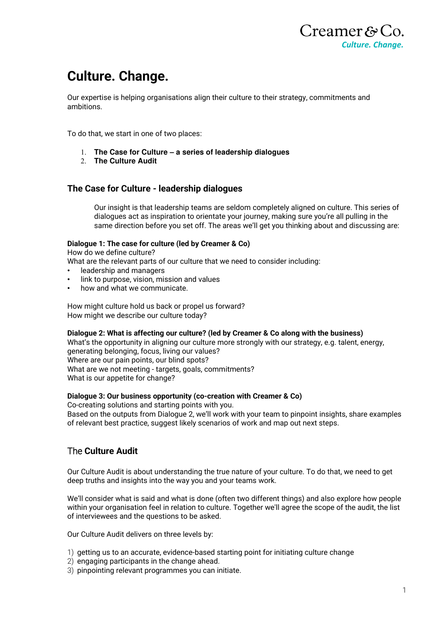

# **Culture. Change.**

Our expertise is helping organisations align their culture to their strategy, commitments and ambitions.

To do that, we start in one of two places:

- **The Case for Culture – a series of leadership dialogues**
- **The Culture Audit**

### **The Case for Culture - leadership dialogues**

Our insight is that leadership teams are seldom completely aligned on culture. This series of dialogues act as inspiration to orientate your journey, making sure you're all pulling in the same direction before you set off. The areas we'll get you thinking about and discussing are:

#### **Dialogue 1: The case for culture (led by Creamer & Co)**

How do we define culture?

What are the relevant parts of our culture that we need to consider including:

- leadership and managers
- link to purpose, vision, mission and values
- how and what we communicate.

How might culture hold us back or propel us forward? How might we describe our culture today?

#### **Dialogue 2: What is affecting our culture? (led by Creamer & Co along with the business)**

What's the opportunity in aligning our culture more strongly with our strategy, e.g. talent, energy, generating belonging, focus, living our values? Where are our pain points, our blind spots? What are we not meeting - targets, goals, commitments? What is our appetite for change?

#### **Dialogue 3: Our business opportunity (co-creation with Creamer & Co)**

Co-creating solutions and starting points with you. Based on the outputs from Dialogue 2, we'll work with your team to pinpoint insights, share examples of relevant best practice, suggest likely scenarios of work and map out next steps.

## The **Culture Audit**

Our Culture Audit is about understanding the true nature of your culture. To do that, we need to get deep truths and insights into the way you and your teams work.

We'll consider what is said and what is done (often two different things) and also explore how people within your organisation feel in relation to culture. Together we'll agree the scope of the audit, the list of interviewees and the questions to be asked.

Our Culture Audit delivers on three levels by:

- 1) getting us to an accurate, evidence-based starting point for initiating culture change
- 2) engaging participants in the change ahead.
- 3) pinpointing relevant programmes you can initiate.